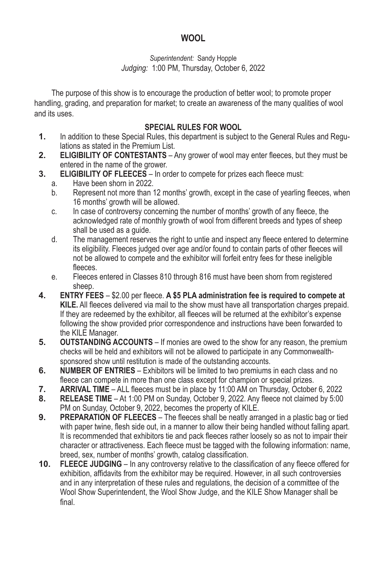# **WOOL**

#### *Superintendent:* Sandy Hopple *Judging:* 1:00 PM, Thursday, October 6, 2022

The purpose of this show is to encourage the production of better wool; to promote proper handling, grading, and preparation for market; to create an awareness of the many qualities of wool and its uses.

### **SPECIAL RULES FOR WOOL**

- **1.** In addition to these Special Rules, this department is subject to the General Rules and Regulations as stated in the Premium List.
- **2. ELIGIBILITY OF CONTESTANTS** Any grower of wool may enter fleeces, but they must be entered in the name of the grower.
- **3. ELIGIBILITY OF FLEECES** In order to compete for prizes each fleece must:
	- a. Have been shorn in 2022.<br>b. Represent not more than
	- Represent not more than 12 months' growth, except in the case of yearling fleeces, when 16 months' growth will be allowed.
	- c. In case of controversy concerning the number of months' growth of any fleece, the acknowledged rate of monthly growth of wool from different breeds and types of sheep shall be used as a guide.
	- d. The management reserves the right to untie and inspect any fleece entered to determine its eligibility. Fleeces judged over age and/or found to contain parts of other fleeces will not be allowed to compete and the exhibitor will forfeit entry fees for these ineligible fleeces.
	- e. Fleeces entered in Classes 810 through 816 must have been shorn from registered sheep.
- **4. ENTRY FEES** \$2.00 per fleece. **A \$5 PLA administration fee is required to compete at KILE.** All fleeces delivered via mail to the show must have all transportation charges prepaid. If they are redeemed by the exhibitor, all fleeces will be returned at the exhibitor's expense following the show provided prior correspondence and instructions have been forwarded to the KILE Manager.
- **5. OUTSTANDING ACCOUNTS** If monies are owed to the show for any reason, the premium checks will be held and exhibitors will not be allowed to participate in any Commonwealthsponsored show until restitution is made of the outstanding accounts.
- **6. NUMBER OF ENTRIES** Exhibitors will be limited to two premiums in each class and no fleece can compete in more than one class except for champion or special prizes.
- **7. ARRIVAL TIME** ALL fleeces must be in place by 11:00 AM on Thursday, October 6, 2022
- **8. RELEASE TIME** At 1:00 PM on Sunday, October 9, 2022. Any fleece not claimed by 5:00 PM on Sunday, October 9, 2022, becomes the property of KILE.
- **9. PREPARATION OF FLEECES** The fleeces shall be neatly arranged in a plastic bag or tied with paper twine, flesh side out, in a manner to allow their being handled without falling apart. It is recommended that exhibitors tie and pack fleeces rather loosely so as not to impair their character or attractiveness. Each fleece must be tagged with the following information: name, breed, sex, number of months' growth, catalog classification.
- **10. FLEECE JUDGING** In any controversy relative to the classification of any fleece offered for exhibition, affidavits from the exhibitor may be required. However, in all such controversies and in any interpretation of these rules and regulations, the decision of a committee of the Wool Show Superintendent, the Wool Show Judge, and the KILE Show Manager shall be final.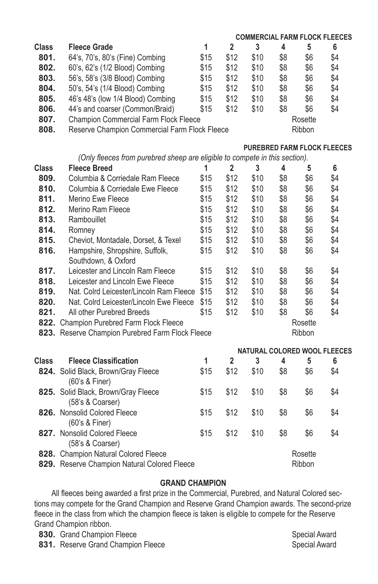|              |                                                                             |      |                |                                    |     |         | <b>COMMERCIAL FARM FLOCK FLEECES</b> |  |  |  |
|--------------|-----------------------------------------------------------------------------|------|----------------|------------------------------------|-----|---------|--------------------------------------|--|--|--|
| Class        | <b>Fleece Grade</b>                                                         | 1    | $\overline{2}$ | 3                                  | 4   | 5       | 6                                    |  |  |  |
| 801.         | 64's, 70's, 80's (Fine) Combing                                             | \$15 | \$12           | \$10                               | \$8 | \$6     | \$4                                  |  |  |  |
| 802.         | 60's, 62's (1/2 Blood) Combing                                              | \$15 | \$12           | \$10                               | \$8 | \$6     | \$4                                  |  |  |  |
| 803.         | 56's, 58's (3/8 Blood) Combing                                              | \$15 | \$12           | \$10                               | \$8 | \$6     | \$4                                  |  |  |  |
| 804.         | 50's, 54's (1/4 Blood) Combing                                              | \$15 | \$12           | \$10                               | \$8 | \$6     | \$4                                  |  |  |  |
| 805.         | 46's 48's (low 1/4 Blood) Combing                                           | \$15 | \$12           | \$10                               | \$8 | \$6     | \$4                                  |  |  |  |
| 806.         | 44's and coarser (Common/Braid)                                             | \$15 | \$12           | \$10                               | \$8 | \$6     | \$4                                  |  |  |  |
| 807.         | <b>Champion Commercial Farm Flock Fleece</b>                                |      |                | Rosette                            |     |         |                                      |  |  |  |
| 808.         | Reserve Champion Commercial Farm Flock Fleece                               |      | Ribbon         |                                    |     |         |                                      |  |  |  |
|              |                                                                             |      |                |                                    |     |         |                                      |  |  |  |
|              |                                                                             |      |                | <b>PUREBRED FARM FLOCK FLEECES</b> |     |         |                                      |  |  |  |
|              | (Only fleeces from purebred sheep are eligible to compete in this section). |      |                |                                    |     |         |                                      |  |  |  |
| Class        | <b>Fleece Breed</b>                                                         | 1    | $\overline{2}$ | 3                                  | 4   | 5       | 6                                    |  |  |  |
| 809.         | Columbia & Corriedale Ram Fleece                                            | \$15 | \$12           | \$10                               | \$8 | \$6     | \$4                                  |  |  |  |
| 810.         | Columbia & Corriedale Ewe Fleece                                            | \$15 | \$12           | \$10                               | \$8 | \$6     | \$4                                  |  |  |  |
| 811.         | Merino Ewe Fleece                                                           | \$15 | \$12           | \$10                               | \$8 | \$6     | \$4                                  |  |  |  |
| 812.         | Merino Ram Fleece                                                           | \$15 | \$12           | \$10                               | \$8 | \$6     | \$4                                  |  |  |  |
| 813.         | Rambouillet                                                                 | \$15 | \$12           | \$10                               | \$8 | \$6     | \$4                                  |  |  |  |
| 814.         | Romney                                                                      | \$15 | \$12           | \$10                               | \$8 | \$6     | \$4                                  |  |  |  |
| 815.         | Cheviot, Montadale, Dorset, & Texel                                         | \$15 | \$12           | \$10                               | \$8 | \$6     | \$4                                  |  |  |  |
| 816.         | Hampshire, Shropshire, Suffolk,<br>Southdown, & Oxford                      | \$15 | \$12           | \$10                               | \$8 | \$6     | \$4                                  |  |  |  |
| 817.         | Leicester and Lincoln Ram Fleece                                            | \$15 | \$12           | \$10                               | \$8 | \$6     | \$4                                  |  |  |  |
| 818.         | Leicester and Lincoln Ewe Fleece                                            | \$15 | \$12           | \$10                               | \$8 | \$6     | \$4                                  |  |  |  |
| 819.         | Nat. Colrd Leicester/Lincoln Ram Fleece                                     | \$15 | \$12           | \$10                               | \$8 | \$6     | \$4                                  |  |  |  |
| 820.         | Nat. Colrd Leicester/Lincoln Ewe Fleece                                     | \$15 | \$12           | \$10                               | \$8 | \$6     | \$4                                  |  |  |  |
| 821.         | All other Purebred Breeds                                                   | \$15 | \$12           | \$10                               | \$8 | \$6     | \$4                                  |  |  |  |
|              | 822. Champion Purebred Farm Flock Fleece                                    |      |                | Rosette                            |     |         |                                      |  |  |  |
|              | 823. Reserve Champion Purebred Farm Flock Fleece<br>Ribbon                  |      |                |                                    |     |         |                                      |  |  |  |
|              |                                                                             |      |                |                                    |     |         | NATURAL COLORED WOOL FLEECES         |  |  |  |
| <b>Class</b> | <b>Fleece Classification</b>                                                | 1    | $\overline{2}$ | 3                                  | 4   | 5       | 6                                    |  |  |  |
|              | 824. Solid Black, Brown/Gray Fleece<br>(60's 8 Finer)                       | \$15 | \$12           | \$10                               | \$8 | \$6     | \$4                                  |  |  |  |
|              | 825. Solid Black, Brown/Gray Fleece<br>(58's & Coarser)                     | \$15 | \$12           | \$10                               | \$8 | \$6     | \$4                                  |  |  |  |
|              | 826. Nonsolid Colored Fleece<br>(60's & Finer)                              | \$15 | \$12           | \$10                               | \$8 | \$6     | \$4                                  |  |  |  |
|              | 827. Nonsolid Colored Fleece<br>(58's & Coarser)                            | \$15 | \$12           | \$10                               | \$8 | \$6     | \$4                                  |  |  |  |
|              | 828. Champion Natural Colored Fleece                                        |      |                |                                    |     | Rosette |                                      |  |  |  |
|              | 829. Reserve Champion Natural Colored Fleece                                |      |                |                                    |     | Ribbon  |                                      |  |  |  |

### **GRAND CHAMPION**

All fleeces being awarded a first prize in the Commercial, Purebred, and Natural Colored sections may compete for the Grand Champion and Reserve Grand Champion awards. The second-prize fleece in the class from which the champion fleece is taken is eligible to compete for the Reserve Grand Champion ribbon.

**830.** Grand Champion Fleece **Special Award**<br> **831.** Reserve Grand Champion Fleece Special Award Special Award 831. Reserve Grand Champion Fleece